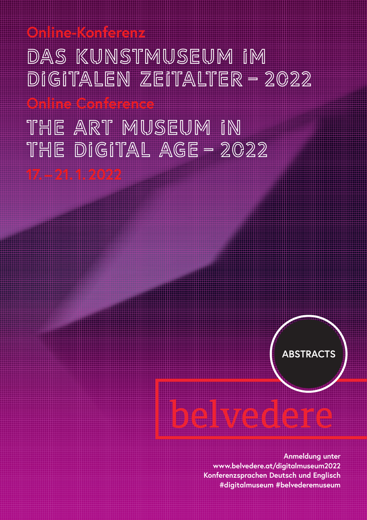DAS KUNSTMUSEUM IM DIGITALEN ZEITALTER – 2022

THE ART MUSEUM IN the Digital Age – 2022

**17. – 21. 1. 2022**

**Online-Konferenz** 

**Online Conference**



A

**Anmeldung unter www.belvedere.at/digitalmuseum2022 Konferenzsprachen Deutsch und Englisch #digitalmuseum #belvederemuseum**

é

ê

a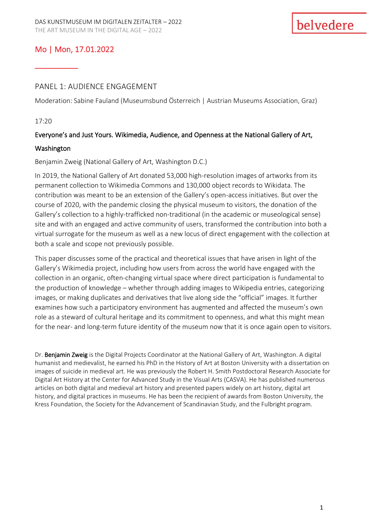# Mo | Mon, 17.01.2022

\_\_\_\_\_\_\_\_\_\_

### PANEL 1: AUDIENCE ENGAGEMENT

Moderation: Sabine Fauland (Museumsbund Österreich | Austrian Museums Association, Graz)

#### 17:20

#### Everyone's and Just Yours. Wikimedia, Audience, and Openness at the National Gallery of Art,

#### Washington

#### Benjamin Zweig (National Gallery of Art, Washington D.C.)

In 2019, the National Gallery of Art donated 53,000 high-resolution images of artworks from its permanent collection to Wikimedia Commons and 130,000 object records to Wikidata. The contribution was meant to be an extension of the Gallery's open-access initiatives. But over the course of 2020, with the pandemic closing the physical museum to visitors, the donation of the Gallery's collection to a highly-trafficked non-traditional (in the academic or museological sense) site and with an engaged and active community of users, transformed the contribution into both a virtual surrogate for the museum as well as a new locus of direct engagement with the collection at both a scale and scope not previously possible.

This paper discusses some of the practical and theoretical issues that have arisen in light of the Gallery's Wikimedia project, including how users from across the world have engaged with the collection in an organic, often-changing virtual space where direct participation is fundamental to the production of knowledge – whether through adding images to Wikipedia entries, categorizing images, or making duplicates and derivatives that live along side the "official" images. It further examines how such a participatory environment has augmented and affected the museum's own role as a steward of cultural heritage and its commitment to openness, and what this might mean for the near- and long-term future identity of the museum now that it is once again open to visitors.

Dr. Benjamin Zweig is the Digital Projects Coordinator at the National Gallery of Art, Washington. A digital humanist and medievalist, he earned his PhD in the History of Art at Boston University with a dissertation on images of suicide in medieval art. He was previously the Robert H. Smith Postdoctoral Research Associate for Digital Art History at the Center for Advanced Study in the Visual Arts (CASVA). He has published numerous articles on both digital and medieval art history and presented papers widely on art history, digital art history, and digital practices in museums. He has been the recipient of awards from Boston University, the Kress Foundation, the Society for the Advancement of Scandinavian Study, and the Fulbright program.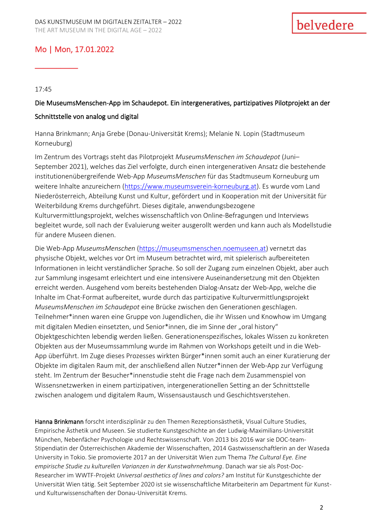# Mo | Mon, 17.01.2022

17:45

\_\_\_\_\_\_\_\_\_\_

# Die MuseumsMenschen-App im Schaudepot. Ein intergeneratives, partizipatives Pilotprojekt an der Schnittstelle von analog und digital

Hanna Brinkmann; Anja Grebe (Donau-Universität Krems); Melanie N. Lopin (Stadtmuseum Korneuburg)

Im Zentrum des Vortrags steht das Pilotprojekt *MuseumsMenschen im Schaudepot* (Juni– September 2021), welches das Ziel verfolgte, durch einen intergenerativen Ansatz die bestehende institutionenübergreifende Web-App *MuseumsMenschen* für das Stadtmuseum Korneuburg um weitere Inhalte anzureichern [\(https://www.museumsverein-korneuburg.at\)](https://www.museumsverein-korneuburg.at/). Es wurde vom Land Niederösterreich, Abteilung Kunst und Kultur, gefördert und in Kooperation mit der Universität für Weiterbildung Krems durchgeführt. Dieses digitale, anwendungsbezogene Kulturvermittlungsprojekt, welches wissenschaftlich von Online-Befragungen und Interviews begleitet wurde, soll nach der Evaluierung weiter ausgerollt werden und kann auch als Modellstudie für andere Museen dienen.

Die Web-App *MuseumsMenschen* [\(https://museumsmenschen.noemuseen.at\)](https://museumsmenschen.noemuseen.at/) vernetzt das physische Objekt, welches vor Ort im Museum betrachtet wird, mit spielerisch aufbereiteten Informationen in leicht verständlicher Sprache. So soll der Zugang zum einzelnen Objekt, aber auch zur Sammlung insgesamt erleichtert und eine intensivere Auseinandersetzung mit den Objekten erreicht werden. Ausgehend vom bereits bestehenden Dialog-Ansatz der Web-App, welche die Inhalte im Chat-Format aufbereitet, wurde durch das partizipative Kulturvermittlungsprojekt *MuseumsMenschen im Schaudepot* eine Brücke zwischen den Generationen geschlagen. Teilnehmer\*innen waren eine Gruppe von Jugendlichen, die ihr Wissen und Knowhow im Umgang mit digitalen Medien einsetzten, und Senior\*innen, die im Sinne der "oral history" Objektgeschichten lebendig werden ließen. Generationenspezifisches, lokales Wissen zu konkreten Objekten aus der Museumssammlung wurde im Rahmen von Workshops geteilt und in die Web-App überführt. Im Zuge dieses Prozesses wirkten Bürger\*innen somit auch an einer Kuratierung der Objekte im digitalen Raum mit, der anschließend allen Nutzer\*innen der Web-App zur Verfügung steht. Im Zentrum der Besucher\*innenstudie steht die Frage nach dem Zusammenspiel von Wissensnetzwerken in einem partizipativen, intergenerationellen Setting an der Schnittstelle zwischen analogem und digitalem Raum, Wissensaustausch und Geschichtsverstehen.

Hanna Brinkmann forscht interdisziplinär zu den Themen Rezeptionsästhetik, Visual Culture Studies, Empirische Ästhetik und Museen. Sie studierte Kunstgeschichte an der Ludwig-Maximilians-Universität München, Nebenfächer Psychologie und Rechtswissenschaft. Von 2013 bis 2016 war sie DOC-team-Stipendiatin der Österreichischen Akademie der Wissenschaften, 2014 Gastwissenschaftlerin an der Waseda University in Tokio. Sie promovierte 2017 an der Universität Wien zum Thema *The Cultural Eye. Eine empirische Studie zu kulturellen Varianzen in der Kunstwahrnehmung*. Danach war sie als Post-Doc-Researcher im WWTF-Projekt *Universal aesthetics of lines and colors?* am Institut für Kunstgeschichte der Universität Wien tätig. Seit September 2020 ist sie wissenschaftliche Mitarbeiterin am Department für Kunstund Kulturwissenschaften der Donau-Universität Krems.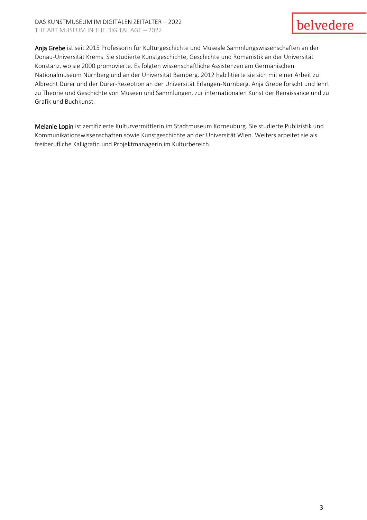#### DAS KUNSTMUSEUM IM DIGITALEN ZEITALTER – 2022 THE ART MUSEUM IN THE DIGITAL AGE – 2022

# belvedere

Anja Grebe ist seit 2015 Professorin für Kulturgeschichte und Museale Sammlungswissenschaften an der Donau-Universität Krems. Sie studierte Kunstgeschichte, Geschichte und Romanistik an der Universität Konstanz, wo sie 2000 promovierte. Es folgten wissenschaftliche Assistenzen am Germanischen Nationalmuseum Nürnberg und an der Universität Bamberg. 2012 habilitierte sie sich mit einer Arbeit zu Albrecht Dürer und der Dürer-Rezeption an der Universität Erlangen-Nürnberg. Anja Grebe forscht und lehrt zu Theorie und Geschichte von Museen und Sammlungen, zur internationalen Kunst der Renaissance und zu Grafik und Buchkunst.

Melanie Lopin ist zertifizierte Kulturvermittlerin im Stadtmuseum Korneuburg. Sie studierte Publizistik und Kommunikationswissenschaften sowie Kunstgeschichte an der Universität Wien. Weiters arbeitet sie als freiberufliche Kalligrafin und Projektmanagerin im Kulturbereich.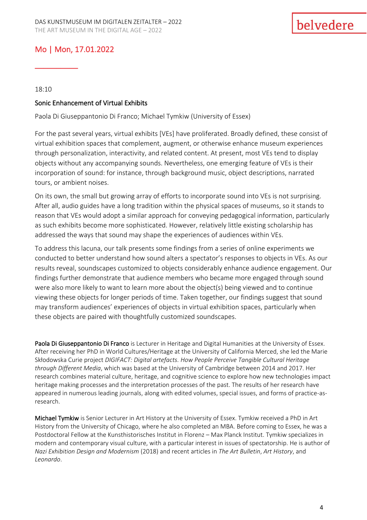# Mo | Mon, 17.01.2022

18:10

\_\_\_\_\_\_\_\_\_\_

#### Sonic Enhancement of Virtual Exhibits

Paola Di Giuseppantonio Di Franco; Michael Tymkiw (University of Essex)

For the past several years, virtual exhibits [VEs] have proliferated. Broadly defined, these consist of virtual exhibition spaces that complement, augment, or otherwise enhance museum experiences through personalization, interactivity, and related content. At present, most VEs tend to display objects without any accompanying sounds. Nevertheless, one emerging feature of VEs is their incorporation of sound: for instance, through background music, object descriptions, narrated tours, or ambient noises.

On its own, the small but growing array of efforts to incorporate sound into VEs is not surprising. After all, audio guides have a long tradition within the physical spaces of museums, so it stands to reason that VEs would adopt a similar approach for conveying pedagogical information, particularly as such exhibits become more sophisticated. However, relatively little existing scholarship has addressed the ways that sound may shape the experiences of audiences within VEs.

To address this lacuna, our talk presents some findings from a series of online experiments we conducted to better understand how sound alters a spectator's responses to objects in VEs. As our results reveal, soundscapes customized to objects considerably enhance audience engagement. Our findings further demonstrate that audience members who became more engaged through sound were also more likely to want to learn more about the object(s) being viewed and to continue viewing these objects for longer periods of time. Taken together, our findings suggest that sound may transform audiences' experiences of objects in virtual exhibition spaces, particularly when these objects are paired with thoughtfully customized soundscapes.

Paola Di Giuseppantonio Di Franco is Lecturer in Heritage and Digital Humanities at the University of Essex. After receiving her PhD in World Cultures/Heritage at the University of California Merced, she led the Marie Skłodowska Curie project *DIGIFACT: Digital artefacts. How People Perceive Tangible Cultural Heritage through Different Media*, which was based at the University of Cambridge between 2014 and 2017. Her research combines material culture, heritage, and cognitive science to explore how new technologies impact heritage making processes and the interpretation processes of the past. The results of her research have appeared in numerous leading journals, along with edited volumes, special issues, and forms of practice-asresearch.

Michael Tymkiw is Senior Lecturer in Art History at the University of Essex. Tymkiw received a PhD in Art History from the University of Chicago, where he also completed an MBA. Before coming to Essex, he was a Postdoctoral Fellow at the Kunsthistorisches Institut in Florenz – Max Planck Institut. Tymkiw specializes in modern and contemporary visual culture, with a particular interest in issues of spectatorship. He is author of *Nazi Exhibition Design and Modernism* (2018) and recent articles in *The Art Bulletin*, *Art History*, and *Leonardo*.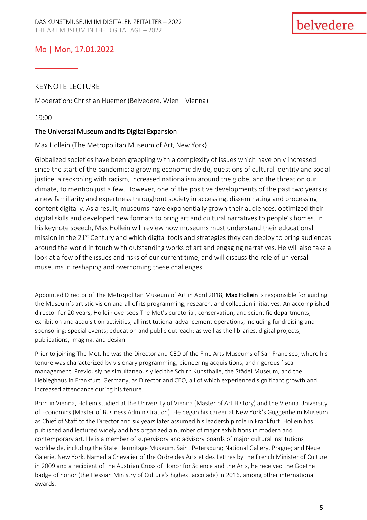# Mo | Mon, 17.01.2022

### KEYNOTE LECTURE

\_\_\_\_\_\_\_\_\_\_

Moderation: Christian Huemer (Belvedere, Wien | Vienna)

19:00

### The Universal Museum and its Digital Expansion

Max Hollein (The Metropolitan Museum of Art, New York)

Globalized societies have been grappling with a complexity of issues which have only increased since the start of the pandemic: a growing economic divide, questions of cultural identity and social justice, a reckoning with racism, increased nationalism around the globe, and the threat on our climate, to mention just a few. However, one of the positive developments of the past two years is a new familiarity and expertness throughout society in accessing, disseminating and processing content digitally. As a result, museums have exponentially grown their audiences, optimized their digital skills and developed new formats to bring art and cultural narratives to people's homes. In his keynote speech, Max Hollein will review how museums must understand their educational mission in the 21<sup>st</sup> Century and which digital tools and strategies they can deploy to bring audiences around the world in touch with outstanding works of art and engaging narratives. He will also take a look at a few of the issues and risks of our current time, and will discuss the role of universal museums in reshaping and overcoming these challenges.

Appointed Director of The Metropolitan Museum of Art in April 2018, Max Hollein is responsible for guiding the Museum's artistic vision and all of its programming, research, and collection initiatives. An accomplished director for 20 years, Hollein oversees The Met's curatorial, conservation, and scientific departments; exhibition and acquisition activities; all institutional advancement operations, including fundraising and sponsoring; special events; education and public outreach; as well as the libraries, digital projects, publications, imaging, and design.

Prior to joining The Met, he was the Director and CEO of the Fine Arts Museums of San Francisco, where his tenure was characterized by visionary programming, pioneering acquisitions, and rigorous fiscal management. Previously he simultaneously led the Schirn Kunsthalle, the Städel Museum, and the Liebieghaus in Frankfurt, Germany, as Director and CEO, all of which experienced significant growth and increased attendance during his tenure.

Born in Vienna, Hollein studied at the University of Vienna (Master of Art History) and the Vienna University of Economics (Master of Business Administration). He began his career at New York's Guggenheim Museum as Chief of Staff to the Director and six years later assumed his leadership role in Frankfurt. Hollein has published and lectured widely and has organized a number of major exhibitions in modern and contemporary art. He is a member of supervisory and advisory boards of major cultural institutions worldwide, including the State Hermitage Museum, Saint Petersburg; National Gallery, Prague; and Neue Galerie, New York. Named a Chevalier of the Ordre des Arts et des Lettres by the French Minister of Culture in 2009 and a recipient of the Austrian Cross of Honor for Science and the Arts, he received the Goethe badge of honor (the Hessian Ministry of Culture's highest accolade) in 2016, among other international awards.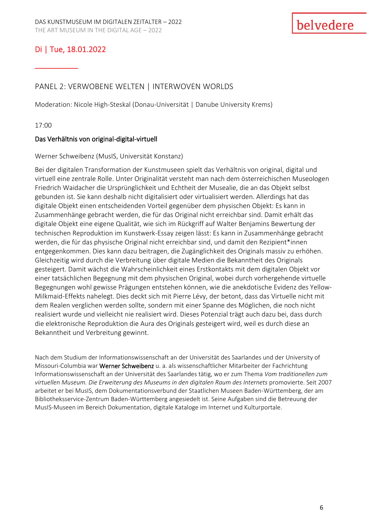# \_\_\_\_\_\_\_\_\_\_

## PANEL 2: VERWOBENE WELTEN | INTERWOVEN WORLDS

Moderation: Nicole High-Steskal (Donau-Universität | Danube University Krems)

17:00

#### Das Verhältnis von original-digital-virtuell

#### Werner Schweibenz (MusIS, Universität Konstanz)

Bei der digitalen Transformation der Kunstmuseen spielt das Verhältnis von original, digital und virtuell eine zentrale Rolle. Unter Originalität versteht man nach dem österreichischen Museologen Friedrich Waidacher die Ursprünglichkeit und Echtheit der Musealie, die an das Objekt selbst gebunden ist. Sie kann deshalb nicht digitalisiert oder virtualisiert werden. Allerdings hat das digitale Objekt einen entscheidenden Vorteil gegenüber dem physischen Objekt: Es kann in Zusammenhänge gebracht werden, die für das Original nicht erreichbar sind. Damit erhält das digitale Objekt eine eigene Qualität, wie sich im Rückgriff auf Walter Benjamins Bewertung der technischen Reproduktion im Kunstwerk-Essay zeigen lässt: Es kann in Zusammenhänge gebracht werden, die für das physische Original nicht erreichbar sind, und damit den Rezipient\*innen entgegenkommen. Dies kann dazu beitragen, die Zugänglichkeit des Originals massiv zu erhöhen. Gleichzeitig wird durch die Verbreitung über digitale Medien die Bekanntheit des Originals gesteigert. Damit wächst die Wahrscheinlichkeit eines Erstkontakts mit dem digitalen Objekt vor einer tatsächlichen Begegnung mit dem physischen Original, wobei durch vorhergehende virtuelle Begegnungen wohl gewisse Prägungen entstehen können, wie die anekdotische Evidenz des Yellow-Milkmaid-Effekts nahelegt. Dies deckt sich mit Pierre Lévy, der betont, dass das Virtuelle nicht mit dem Realen verglichen werden sollte, sondern mit einer Spanne des Möglichen, die noch nicht realisiert wurde und vielleicht nie realisiert wird. Dieses Potenzial trägt auch dazu bei, dass durch die elektronische Reproduktion die Aura des Originals gesteigert wird, weil es durch diese an Bekanntheit und Verbreitung gewinnt.

Nach dem Studium der Informationswissenschaft an der Universität des Saarlandes und der University of Missouri-Columbia war Werner Schweibenz u. a. als wissenschaftlicher Mitarbeiter der Fachrichtung Informationswissenschaft an der Universität des Saarlandes tätig, wo er zum Thema *Vom traditionellen zum virtuellen Museum. Die Erweiterung des Museums in den digitalen Raum des Internets* promovierte. Seit 2007 arbeitet er bei MusIS, dem Dokumentationsverbund der Staatlichen Museen Baden-Württemberg, der am Bibliotheksservice-Zentrum Baden-Württemberg angesiedelt ist. Seine Aufgaben sind die Betreuung der MusIS-Museen im Bereich Dokumentation, digitale Kataloge im Internet und Kulturportale.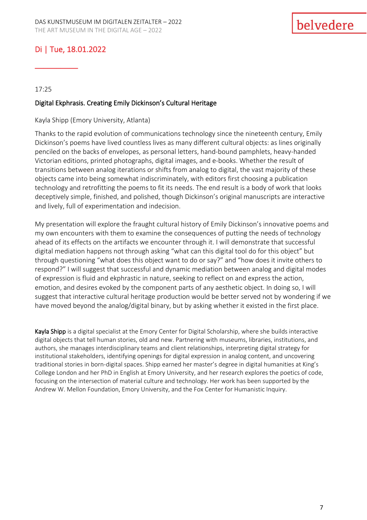\_\_\_\_\_\_\_\_\_\_

#### 17:25

#### Digital Ekphrasis. Creating Emily Dickinson's Cultural Heritage

#### Kayla Shipp (Emory University, Atlanta)

Thanks to the rapid evolution of communications technology since the nineteenth century, Emily Dickinson's poems have lived countless lives as many different cultural objects: as lines originally penciled on the backs of envelopes, as personal letters, hand-bound pamphlets, heavy-handed Victorian editions, printed photographs, digital images, and e-books. Whether the result of transitions between analog iterations or shifts from analog to digital, the vast majority of these objects came into being somewhat indiscriminately, with editors first choosing a publication technology and retrofitting the poems to fit its needs. The end result is a body of work that looks deceptively simple, finished, and polished, though Dickinson's original manuscripts are interactive and lively, full of experimentation and indecision.

My presentation will explore the fraught cultural history of Emily Dickinson's innovative poems and my own encounters with them to examine the consequences of putting the needs of technology ahead of its effects on the artifacts we encounter through it. I will demonstrate that successful digital mediation happens not through asking "what can this digital tool do for this object" but through questioning "what does this object want to do or say?" and "how does it invite others to respond?" I will suggest that successful and dynamic mediation between analog and digital modes of expression is fluid and ekphrastic in nature, seeking to reflect on and express the action, emotion, and desires evoked by the component parts of any aesthetic object. In doing so, I will suggest that interactive cultural heritage production would be better served not by wondering if we have moved beyond the analog/digital binary, but by asking whether it existed in the first place.

Kayla Shipp is a digital specialist at the Emory Center for Digital Scholarship, where she builds interactive digital objects that tell human stories, old and new. Partnering with museums, libraries, institutions, and authors, she manages interdisciplinary teams and client relationships, interpreting digital strategy for institutional stakeholders, identifying openings for digital expression in analog content, and uncovering traditional stories in born-digital spaces. Shipp earned her master's degree in digital humanities at King's College London and her PhD in English at Emory University, and her research explores the poetics of code, focusing on the intersection of material culture and technology. Her work has been supported by the Andrew W. Mellon Foundation, Emory University, and the Fox Center for Humanistic Inquiry.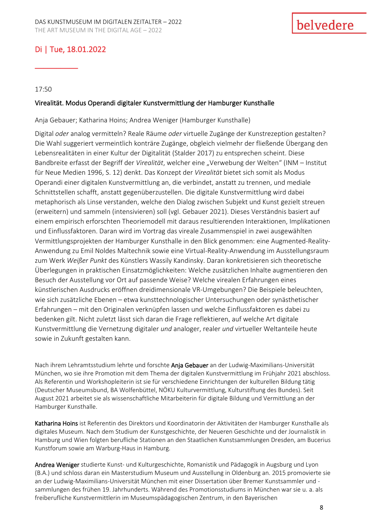\_\_\_\_\_\_\_\_\_\_

17:50

#### Virealität. Modus Operandi digitaler Kunstvermittlung der Hamburger Kunsthalle

Anja Gebauer; Katharina Hoins; Andrea Weniger (Hamburger Kunsthalle)

Digital *oder* analog vermitteln? Reale Räume *oder* virtuelle Zugänge der Kunstrezeption gestalten? Die Wahl suggeriert vermeintlich konträre Zugänge, obgleich vielmehr der fließende Übergang den Lebensrealitäten in einer Kultur der Digitalität (Stalder 2017) zu entsprechen scheint. Diese Bandbreite erfasst der Begriff der Virealität, welcher eine "Verwebung der Welten" (INM – Institut für Neue Medien 1996, S. 12) denkt. Das Konzept der *Virealität* bietet sich somit als Modus Operandi einer digitalen Kunstvermittlung an, die verbindet, anstatt zu trennen, und mediale Schnittstellen schafft, anstatt gegenüberzustellen. Die digitale Kunstvermittlung wird dabei metaphorisch als Linse verstanden, welche den Dialog zwischen Subjekt und Kunst gezielt streuen (erweitern) und sammeln (intensivieren) soll (vgl. Gebauer 2021). Dieses Verständnis basiert auf einem empirisch erforschten Theoriemodell mit daraus resultierenden Interaktionen, Implikationen und Einflussfaktoren. Daran wird im Vortrag das vireale Zusammenspiel in zwei ausgewählten Vermittlungsprojekten der Hamburger Kunsthalle in den Blick genommen: eine Augmented-Reality-Anwendung zu Emil Noldes Maltechnik sowie eine Virtual-Reality-Anwendung im Ausstellungsraum zum Werk *Weißer Punkt* des Künstlers Wassily Kandinsky. Daran konkretisieren sich theoretische Überlegungen in praktischen Einsatzmöglichkeiten: Welche zusätzlichen Inhalte augmentieren den Besuch der Ausstellung vor Ort auf passende Weise? Welche virealen Erfahrungen eines künstlerischen Ausdrucks eröffnen dreidimensionale VR-Umgebungen? Die Beispiele beleuchten, wie sich zusätzliche Ebenen – etwa kunsttechnologischer Untersuchungen oder synästhetischer Erfahrungen – mit den Originalen verknüpfen lassen und welche Einflussfaktoren es dabei zu bedenken gilt. Nicht zuletzt lässt sich daran die Frage reflektieren, auf welche Art digitale Kunstvermittlung die Vernetzung digitaler *und* analoger, realer *und* virtueller Weltanteile heute sowie in Zukunft gestalten kann.

Nach ihrem Lehramtsstudium lehrte und forschte Anja Gebauer an der Ludwig-Maximilians-Universität München, wo sie ihre Promotion mit dem Thema der digitalen Kunstvermittlung im Frühjahr 2021 abschloss. Als Referentin und Workshopleiterin ist sie für verschiedene Einrichtungen der kulturellen Bildung tätig (Deutscher Museumsbund, BA Wolfenbüttel, NÖKU Kulturvermittlung, Kulturstiftung des Bundes). Seit August 2021 arbeitet sie als wissenschaftliche Mitarbeiterin für digitale Bildung und Vermittlung an der Hamburger Kunsthalle.

Katharina Hoins ist Referentin des Direktors und Koordinatorin der Aktivitäten der Hamburger Kunsthalle als digitales Museum. Nach dem Studium der Kunstgeschichte, der Neueren Geschichte und der Journalistik in Hamburg und Wien folgten berufliche Stationen an den Staatlichen Kunstsammlungen Dresden, am Bucerius Kunstforum sowie am Warburg-Haus in Hamburg.

Andrea Weniger studierte Kunst- und Kulturgeschichte, Romanistik und Pädagogik in Augsburg und Lyon (B.A.) und schloss daran ein Masterstudium Museum und Ausstellung in Oldenburg an. 2015 promovierte sie an der Ludwig-Maximilians-Universität München mit einer Dissertation über Bremer Kunstsammler und sammlungen des frühen 19. Jahrhunderts. Während des Promotionsstudiums in München war sie u. a. als freiberufliche Kunstvermittlerin im Museumspädagogischen Zentrum, in den Bayerischen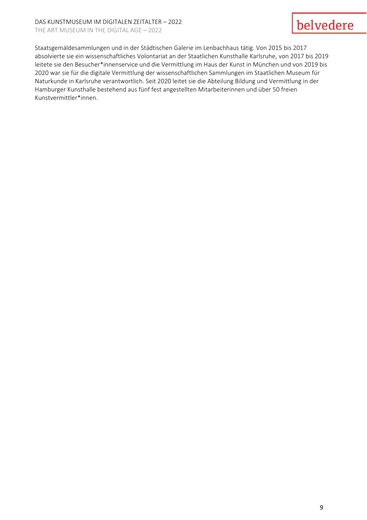#### DAS KUNSTMUSEUM IM DIGITALEN ZEITALTER – 2022 THE ART MUSEUM IN THE DIGITAL AGE – 2022

# belvedere

Staatsgemäldesammlungen und in der Städtischen Galerie im Lenbachhaus tätig. Von 2015 bis 2017 absolvierte sie ein wissenschaftliches Volontariat an der Staatlichen Kunsthalle Karlsruhe, von 2017 bis 2019 leitete sie den Besucher\*innenservice und die Vermittlung im Haus der Kunst in München und von 2019 bis 2020 war sie für die digitale Vermittlung der wissenschaftlichen Sammlungen im Staatlichen Museum für Naturkunde in Karlsruhe verantwortlich. Seit 2020 leitet sie die Abteilung Bildung und Vermittlung in der Hamburger Kunsthalle bestehend aus fünf fest angestellten Mitarbeiterinnen und über 50 freien Kunstvermittler\*innen.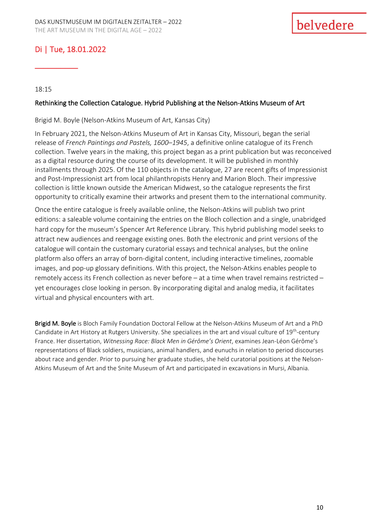\_\_\_\_\_\_\_\_\_\_

18:15

#### Rethinking the Collection Catalogue. Hybrid Publishing at the Nelson-Atkins Museum of Art

Brigid M. Boyle (Nelson-Atkins Museum of Art, Kansas City)

In February 2021, the Nelson-Atkins Museum of Art in Kansas City, Missouri, began the serial release of *French Paintings and Pastels, 1600–1945*, a definitive online catalogue of its French collection. Twelve years in the making, this project began as a print publication but was reconceived as a digital resource during the course of its development. It will be published in monthly installments through 2025. Of the 110 objects in the catalogue, 27 are recent gifts of Impressionist and Post-Impressionist art from local philanthropists Henry and Marion Bloch. Their impressive collection is little known outside the American Midwest, so the catalogue represents the first opportunity to critically examine their artworks and present them to the international community.

Once the entire catalogue is freely available online, the Nelson-Atkins will publish two print editions: a saleable volume containing the entries on the Bloch collection and a single, unabridged hard copy for the museum's Spencer Art Reference Library. This hybrid publishing model seeks to attract new audiences and reengage existing ones. Both the electronic and print versions of the catalogue will contain the customary curatorial essays and technical analyses, but the online platform also offers an array of born-digital content, including interactive timelines, zoomable images, and pop-up glossary definitions. With this project, the Nelson-Atkins enables people to remotely access its French collection as never before – at a time when travel remains restricted – yet encourages close looking in person. By incorporating digital and analog media, it facilitates virtual and physical encounters with art.

Brigid M. Boyle is Bloch Family Foundation Doctoral Fellow at the Nelson-Atkins Museum of Art and a PhD Candidate in Art History at Rutgers University. She specializes in the art and visual culture of 19<sup>th</sup>-century France. Her dissertation, *Witnessing Race: Black Men in Gérôme's Orient*, examines Jean-Léon Gérôme's representations of Black soldiers, musicians, animal handlers, and eunuchs in relation to period discourses about race and gender. Prior to pursuing her graduate studies, she held curatorial positions at the Nelson-Atkins Museum of Art and the Snite Museum of Art and participated in excavations in Mursi, Albania.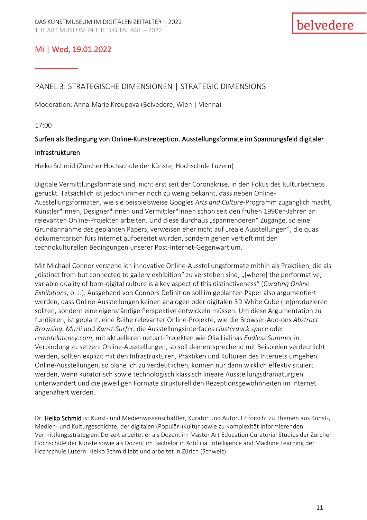# Mi | Wed, 19.01.2022

\_\_\_\_\_\_\_\_\_\_

## PANEL 3: STRATEGISCHE DIMENSIONEN | STRATEGIC DIMENSIONS

Moderation: Anna-Marie Kroupova (Belvedere, Wien | Vienna)

17:00

#### Surfen als Bedingung von Online-Kunstrezeption. Ausstellungsformate im Spannungsfeld digitaler

#### Infrastrukturen

Heiko Schmid (Zürcher Hochschule der Künste; Hochschule Luzern)

Digitale Vermittlungsformate sind, nicht erst seit der Coronakrise, in den Fokus des Kulturbetriebs gerückt. Tatsächlich ist jedoch immer noch zu wenig bekannt, dass neben Online-Ausstellungsformaten, wie sie beispielsweise Googles *Arts and Culture*-Programm zugänglich macht, Künstler\*innen, Designer\*innen und Vermittler\*innen schon seit den frühen 1990er-Jahren an relevanten Online-Projekten arbeiten. Und diese durchaus "spannenderen" Zugänge, so eine Grundannahme des geplanten Papers, verweisen eher nicht auf "reale Ausstellungen", die quasi dokumentarisch fürs Internet aufbereitet wurden, sondern gehen vertieft mit den technokulturellen Bedingungen unserer Post-Internet-Gegenwart um.

Mit Michael Connor verstehe ich innovative Online-Ausstellungsformate mithin als Praktiken, die als "distinct from but connected to gallery exhibition" zu verstehen sind, "[where] the performative, variable quality of born-digital culture is a key aspect of this distinctiveness" (*Curating Online Exhibitions*, o. J.). Ausgehend von Connors Definition soll im geplanten Paper also argumentiert werden, dass Online-Ausstellungen keinen analogen oder digitalen 3D White Cube (re)produzieren sollten, sondern eine eigenständige Perspektive entwickeln müssen. Um diese Argumentation zu fundieren, ist geplant, eine Reihe relevanter Online-Projekte, wie die Browser-Add-ons *Abstract Browsing*, *Muzli* und *Kunst-Surfer*, die Ausstellungsinterfaces *clusterduck.space* oder *remotelatency.com*, mit aktuelleren net.art-Projekten wie Olia Lialinas *Endless Summer* in Verbindung zu setzen. Online-Ausstellungen, so soll dementsprechend mit Beispielen verdeutlicht werden, sollten explizit mit den Infrastrukturen, Praktiken und Kulturen des Internets umgehen. Online-Ausstellungen, so plane ich zu verdeutlichen, können nur dann wirklich effektiv situiert werden, wenn kuratorisch sowie technologisch klassisch lineare Ausstellungsdramaturgien unterwandert und die jeweiligen Formate strukturell den Rezeptionsgewohnheiten im Internet angenähert werden.

Dr. Heiko Schmid ist Kunst- und Medienwissenschaftler, Kurator und Autor. Er forscht zu Themen aus Kunst-, Medien- und Kulturgeschichte, der digitalen (Populär-)Kultur sowie zu Komplexität informierenden Vermittlungsstrategien. Derzeit arbeitet er als Dozent im Master Art Education Curatorial Studies der Zürcher Hochschule der Künste sowie als Dozent im Bachelor in Artificial Intelligence and Machine Learning der Hochschule Luzern. Heiko Schmid lebt und arbeitet in Zürich (Schweiz).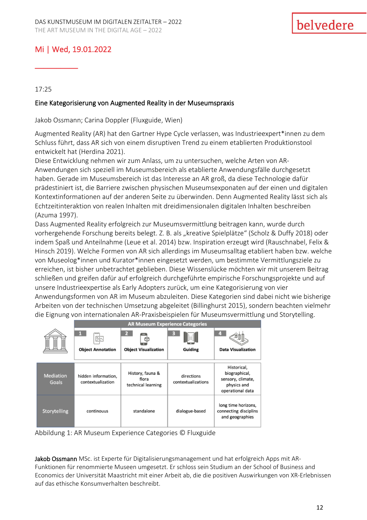# Mi | Wed, 19.01.2022

17:25

\_\_\_\_\_\_\_\_\_\_

#### Eine Kategorisierung von Augmented Reality in der Museumspraxis

Jakob Ossmann; Carina Doppler (Fluxguide, Wien)

Augmented Reality (AR) hat den Gartner Hype Cycle verlassen, was Industrieexpert\*innen zu dem Schluss führt, dass AR sich von einem disruptiven Trend zu einem etablierten Produktionstool entwickelt hat (Herdina 2021).

Diese Entwicklung nehmen wir zum Anlass, um zu untersuchen, welche Arten von AR-Anwendungen sich speziell im Museumsbereich als etablierte Anwendungsfälle durchgesetzt haben. Gerade im Museumsbereich ist das Interesse an AR groß, da diese Technologie dafür prädestiniert ist, die Barriere zwischen physischen Museumsexponaten auf der einen und digitalen Kontextinformationen auf der anderen Seite zu überwinden. Denn Augmented Reality lässt sich als Echtzeitinteraktion von realen Inhalten mit dreidimensionalen digitalen Inhalten beschreiben (Azuma 1997).

Dass Augmented Reality erfolgreich zur Museumsvermittlung beitragen kann, wurde durch vorhergehende Forschung bereits belegt. Z. B. als "kreative Spielplätze" (Scholz & Duffy 2018) oder indem Spaß und Anteilnahme (Leue et al. 2014) bzw. Inspiration erzeugt wird (Rauschnabel, Felix & Hinsch 2019). Welche Formen von AR sich allerdings im Museumsalltag etabliert haben bzw. welche von Museolog\*innen und Kurator\*innen eingesetzt werden, um bestimmte Vermittlungsziele zu erreichen, ist bisher unbetrachtet geblieben. Diese Wissenslücke möchten wir mit unserem Beitrag schließen und greifen dafür auf erfolgreich durchgeführte empirische Forschungsprojekte und auf unsere Industrieexpertise als Early Adopters zurück, um eine Kategorisierung von vier Anwendungsformen von AR im Museum abzuleiten. Diese Kategorien sind dabei nicht wie bisherige Arbeiten von der technischen Umsetzung abgeleitet (Billinghurst 2015), sondern beachten vielmehr die Eignung von internationalen AR-Praxisbeispielen für Museumsvermittlung und Storytelling.

|                           | <b>AR Museum Experience Categories</b>    |                                                 |                                  |                                                                                      |
|---------------------------|-------------------------------------------|-------------------------------------------------|----------------------------------|--------------------------------------------------------------------------------------|
|                           | $\frac{1}{2}$<br><b>Object Annotation</b> | $\mathbf{z}$<br><b>Object Visualization</b>     | <b>Guiding</b>                   | <b>Data Visualization</b>                                                            |
| <b>Mediation</b><br>Goals | hidden information,<br>contextualization  | History, fauna &<br>flora<br>technical learning | directions<br>contextualizations | Historical,<br>biographical,<br>sensory, climate,<br>physics and<br>operational data |
| Storytelling              | continouus                                | standalone                                      | dialogue-based                   | long time horizons,<br>connecting disciplins<br>and geographies                      |

Abbildung 1: AR Museum Experience Categories © Fluxguide

Jakob Ossmann MSc. ist Experte für Digitalisierungsmanagement und hat erfolgreich Apps mit AR-Funktionen für renommierte Museen umgesetzt. Er schloss sein Studium an der School of Business and Economics der Universität Maastricht mit einer Arbeit ab, die die positiven Auswirkungen von XR-Erlebnissen auf das ethische Konsumverhalten beschreibt.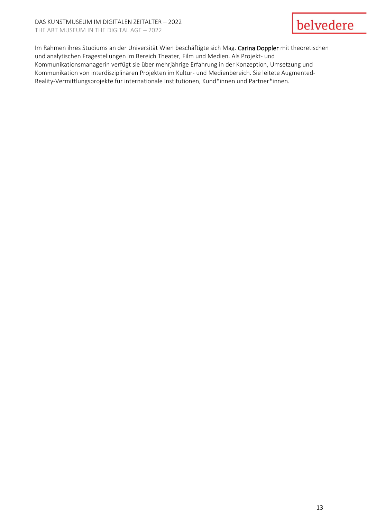# belvedere

Im Rahmen ihres Studiums an der Universität Wien beschäftigte sich Mag. Carina Doppler mit theoretischen und analytischen Fragestellungen im Bereich Theater, Film und Medien. Als Projekt- und Kommunikationsmanagerin verfügt sie über mehrjährige Erfahrung in der Konzeption, Umsetzung und Kommunikation von interdisziplinären Projekten im Kultur- und Medienbereich. Sie leitete Augmented-Reality-Vermittlungsprojekte für internationale Institutionen, Kund\*innen und Partner\*innen.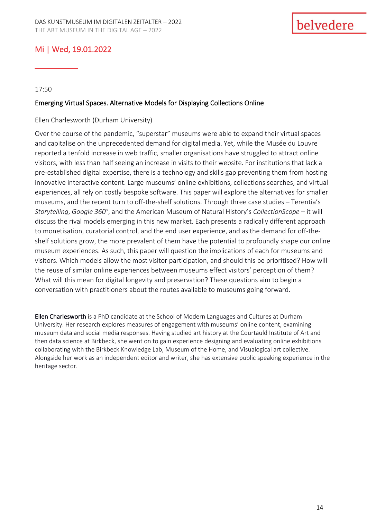# Mi | Wed, 19.01.2022

#### 17:50

\_\_\_\_\_\_\_\_\_\_

#### Emerging Virtual Spaces. Alternative Models for Displaying Collections Online

#### Ellen Charlesworth (Durham University)

Over the course of the pandemic, "superstar" museums were able to expand their virtual spaces and capitalise on the unprecedented demand for digital media. Yet, while the Musée du Louvre reported a tenfold increase in web traffic, smaller organisations have struggled to attract online visitors, with less than half seeing an increase in visits to their website. For institutions that lack a pre-established digital expertise, there is a technology and skills gap preventing them from hosting innovative interactive content. Large museums' online exhibitions, collections searches, and virtual experiences, all rely on costly bespoke software. This paper will explore the alternatives for smaller museums, and the recent turn to off-the-shelf solutions. Through three case studies – Terentia's *Storytelling*, *Google 360°*, and the American Museum of Natural History's *CollectionScope* – it will discuss the rival models emerging in this new market. Each presents a radically different approach to monetisation, curatorial control, and the end user experience, and as the demand for off-theshelf solutions grow, the more prevalent of them have the potential to profoundly shape our online museum experiences. As such, this paper will question the implications of each for museums and visitors. Which models allow the most visitor participation, and should this be prioritised? How will the reuse of similar online experiences between museums effect visitors' perception of them? What will this mean for digital longevity and preservation? These questions aim to begin a conversation with practitioners about the routes available to museums going forward.

Ellen Charlesworth is a PhD candidate at the School of Modern Languages and Cultures at Durham University. Her research explores measures of engagement with museums' online content, examining museum data and social media responses. Having studied art history at the Courtauld Institute of Art and then data science at Birkbeck, she went on to gain experience designing and evaluating online exhibitions collaborating with the Birkbeck Knowledge Lab, Museum of the Home, and Visualogical art collective. Alongside her work as an independent editor and writer, she has extensive public speaking experience in the heritage sector.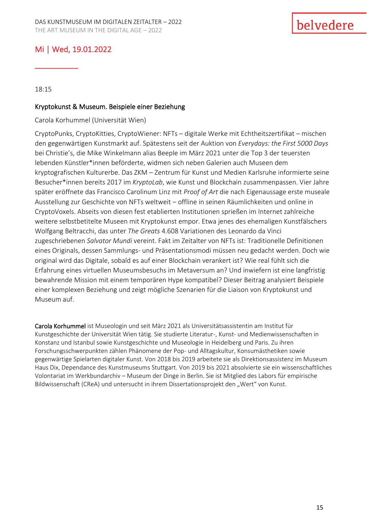# Mi | Wed, 19.01.2022

18:15

\_\_\_\_\_\_\_\_\_\_

#### Kryptokunst & Museum. Beispiele einer Beziehung

Carola Korhummel (Universität Wien)

CryptoPunks, CryptoKitties, CryptoWiener: NFTs – digitale Werke mit Echtheitszertifikat – mischen den gegenwärtigen Kunstmarkt auf. Spätestens seit der Auktion von *Everydays: the First 5000 Days* bei Christie's, die Mike Winkelmann alias Beeple im März 2021 unter die Top 3 der teuersten lebenden Künstler\*innen beförderte, widmen sich neben Galerien auch Museen dem kryptografischen Kulturerbe. Das ZKM – Zentrum für Kunst und Medien Karlsruhe informierte seine Besucher\*innen bereits 2017 im *KryptoLab*, wie Kunst und Blockchain zusammenpassen. Vier Jahre später eröffnete das Francisco Carolinum Linz mit *Proof of Art* die nach Eigenaussage erste museale Ausstellung zur Geschichte von NFTs weltweit – offline in seinen Räumlichkeiten und online in CryptoVoxels. Abseits von diesen fest etablierten Institutionen sprießen im Internet zahlreiche weitere selbstbetitelte Museen mit Kryptokunst empor. Etwa jenes des ehemaligen Kunstfälschers Wolfgang Beltracchi, das unter *The Greats* 4.608 Variationen des Leonardo da Vinci zugeschriebenen *Salvator Mundi* vereint. Fakt im Zeitalter von NFTs ist: Traditionelle Definitionen eines Originals, dessen Sammlungs- und Präsentationsmodi müssen neu gedacht werden. Doch wie original wird das Digitale, sobald es auf einer Blockchain verankert ist? Wie real fühlt sich die Erfahrung eines virtuellen Museumsbesuchs im Metaversum an? Und inwiefern ist eine langfristig bewahrende Mission mit einem temporären Hype kompatibel? Dieser Beitrag analysiert Beispiele einer komplexen Beziehung und zeigt mögliche Szenarien für die Liaison von Kryptokunst und Museum auf.

Carola Korhummel ist Museologin und seit März 2021 als Universitätsassistentin am Institut für Kunstgeschichte der Universität Wien tätig. Sie studierte Literatur-, Kunst- und Medienwissenschaften in Konstanz und Istanbul sowie Kunstgeschichte und Museologie in Heidelberg und Paris. Zu ihren Forschungsschwerpunkten zählen Phänomene der Pop- und Alltagskultur, Konsumästhetiken sowie gegenwärtige Spielarten digitaler Kunst. Von 2018 bis 2019 arbeitete sie als Direktionsassistenz im Museum Haus Dix, Dependance des Kunstmuseums Stuttgart. Von 2019 bis 2021 absolvierte sie ein wissenschaftliches Volontariat im Werkbundarchiv – Museum der Dinge in Berlin. Sie ist Mitglied des Labors für empirische Bildwissenschaft (CReA) und untersucht in ihrem Dissertationsprojekt den "Wert" von Kunst.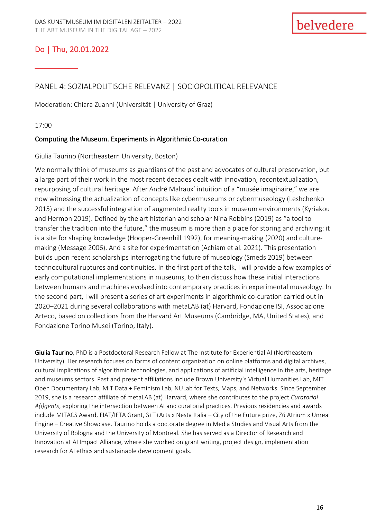\_\_\_\_\_\_\_\_\_\_

## PANEL 4: SOZIALPOLITISCHE RELEVANZ | SOCIOPOLITICAL RELEVANCE

Moderation: Chiara Zuanni (Universität | University of Graz)

17:00

### Computing the Museum. Experiments in Algorithmic Co-curation

Giulia Taurino (Northeastern University, Boston)

We normally think of museums as guardians of the past and advocates of cultural preservation, but a large part of their work in the most recent decades dealt with innovation, recontextualization, repurposing of cultural heritage. After André Malraux' intuition of a "musée imaginaire," we are now witnessing the actualization of concepts like cybermuseums or cybermuseology (Leshchenko 2015) and the successful integration of augmented reality tools in museum environments (Kyriakou and Hermon 2019). Defined by the art historian and scholar Nina Robbins (2019) as "a tool to transfer the tradition into the future," the museum is more than a place for storing and archiving: it is a site for shaping knowledge (Hooper-Greenhill 1992), for meaning-making (2020) and culturemaking (Message 2006). And a site for experimentation (Achiam et al. 2021). This presentation builds upon recent scholarships interrogating the future of museology (Smeds 2019) between technocultural ruptures and continuities. In the first part of the talk, I will provide a few examples of early computational implementations in museums, to then discuss how these initial interactions between humans and machines evolved into contemporary practices in experimental museology. In the second part, I will present a series of art experiments in algorithmic co-curation carried out in 2020–2021 during several collaborations with metaLAB (at) Harvard, Fondazione ISI, Associazione Arteco, based on collections from the Harvard Art Museums (Cambridge, MA, United States), and Fondazione Torino Musei (Torino, Italy).

Giulia Taurino, PhD is a Postdoctoral Research Fellow at The Institute for Experiential AI (Northeastern University). Her research focuses on forms of content organization on online platforms and digital archives, cultural implications of algorithmic technologies, and applications of artificial intelligence in the arts, heritage and museums sectors. Past and present affiliations include Brown University's Virtual Humanities Lab, MIT Open Documentary Lab, MIT Data + Feminism Lab, NULab for Texts, Maps, and Networks. Since September 2019, she is a research affiliate of metaLAB (at) Harvard, where she contributes to the project *Curatorial A(i)gents*, exploring the intersection between AI and curatorial practices. Previous residencies and awards include MITACS Award, FIAT/IFTA Grant, S+T+Arts x Nesta Italia – City of the Future prize, Zú Atrium x Unreal Engine – Creative Showcase. Taurino holds a doctorate degree in Media Studies and Visual Arts from the University of Bologna and the University of Montreal. She has served as a Director of Research and Innovation at AI Impact Alliance, where she worked on grant writing, project design, implementation research for AI ethics and sustainable development goals.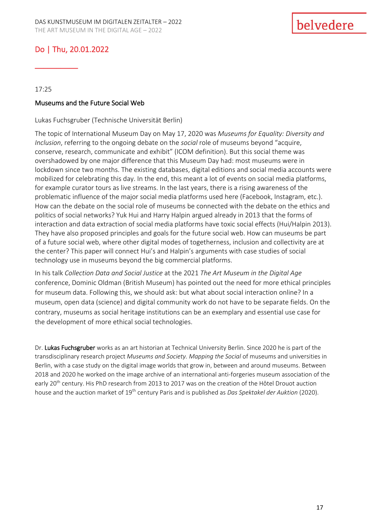\_\_\_\_\_\_\_\_\_\_

17:25

#### Museums and the Future Social Web

Lukas Fuchsgruber (Technische Universität Berlin)

The topic of International Museum Day on May 17, 2020 was *Museums for Equality: Diversity and Inclusion*, referring to the ongoing debate on the *social* role of museums beyond "acquire, conserve, research, communicate and exhibit" (ICOM definition). But this social theme was overshadowed by one major difference that this Museum Day had: most museums were in lockdown since two months. The existing databases, digital editions and social media accounts were mobilized for celebrating this day. In the end, this meant a lot of events on social media platforms, for example curator tours as live streams. In the last years, there is a rising awareness of the problematic influence of the major social media platforms used here (Facebook, Instagram, etc.). How can the debate on the social role of museums be connected with the debate on the ethics and politics of social networks? Yuk Hui and Harry Halpin argued already in 2013 that the forms of interaction and data extraction of social media platforms have toxic social effects (Hui/Halpin 2013). They have also proposed principles and goals for the future social web. How can museums be part of a future social web, where other digital modes of togetherness, inclusion and collectivity are at the center? This paper will connect Hui's and Halpin's arguments with case studies of social technology use in museums beyond the big commercial platforms.

In his talk *Collection Data and Social Justice* at the 2021 *The Art Museum in the Digital Age* conference, Dominic Oldman (British Museum) has pointed out the need for more ethical principles for museum data. Following this, we should ask: but what about social interaction online? In a museum, open data (science) and digital community work do not have to be separate fields. On the contrary, museums as social heritage institutions can be an exemplary and essential use case for the development of more ethical social technologies.

Dr. Lukas Fuchsgruber works as an art historian at Technical University Berlin. Since 2020 he is part of the transdisciplinary research project *Museums and Society. Mapping the Social* of museums and universities in Berlin, with a case study on the digital image worlds that grow in, between and around museums. Between 2018 and 2020 he worked on the image archive of an international anti-forgeries museum association of the early 20<sup>th</sup> century. His PhD research from 2013 to 2017 was on the creation of the Hôtel Drouot auction house and the auction market of 19th century Paris and is published as *Das Spektakel der Auktion* (2020).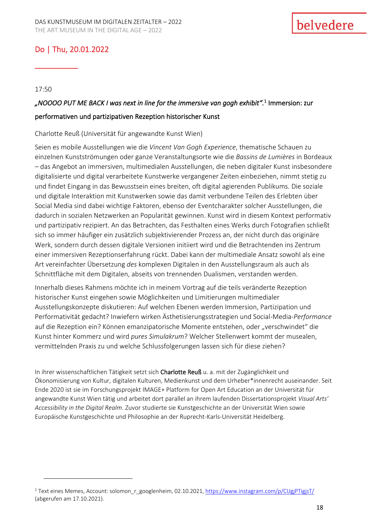\_\_\_\_\_\_\_\_\_\_

17:50

# *"NOOOO PUT ME BACK I was next in line for the immersive van gogh exhibit".* 1 Immersion: zur performativen und partizipativen Rezeption historischer Kunst

Charlotte Reuß (Universität für angewandte Kunst Wien)

Seien es mobile Ausstellungen wie die *Vincent Van Gogh Experience*, thematische Schauen zu einzelnen Kunstströmungen oder ganze Veranstaltungsorte wie die *Bassins de Lumières* in Bordeaux – das Angebot an immersiven, multimedialen Ausstellungen, die neben digitaler Kunst insbesondere digitalisierte und digital verarbeitete Kunstwerke vergangener Zeiten einbeziehen, nimmt stetig zu und findet Eingang in das Bewusstsein eines breiten, oft digital agierenden Publikums. Die soziale und digitale Interaktion mit Kunstwerken sowie das damit verbundene Teilen des Erlebten über Social Media sind dabei wichtige Faktoren, ebenso der Eventcharakter solcher Ausstellungen, die dadurch in sozialen Netzwerken an Popularität gewinnen. Kunst wird in diesem Kontext performativ und partizipativ rezipiert. An das Betrachten, das Festhalten eines Werks durch Fotografien schließt sich so immer häufiger ein zusätzlich subjektivierender Prozess an, der nicht durch das originäre Werk, sondern durch dessen digitale Versionen initiiert wird und die Betrachtenden ins Zentrum einer immersiven Rezeptionserfahrung rückt. Dabei kann der multimediale Ansatz sowohl als eine Art vereinfachter Übersetzung *des* komplexen Digitalen in den Ausstellungsraum als auch als Schnittfläche mit dem Digitalen, abseits von trennenden Dualismen, verstanden werden.

Innerhalb dieses Rahmens möchte ich in meinem Vortrag auf die teils veränderte Rezeption historischer Kunst eingehen sowie Möglichkeiten und Limitierungen multimedialer Ausstellungskonzepte diskutieren: Auf welchen Ebenen werden Immersion, Partizipation und Performativität gedacht? Inwiefern wirken Ästhetisierungsstrategien und Social-Media-*Performance* auf die Rezeption ein? Können emanzipatorische Momente entstehen, oder "verschwindet" die Kunst hinter Kommerz und wird *pures Simulakrum*? Welcher Stellenwert kommt der musealen, vermittelnden Praxis zu und welche Schlussfolgerungen lassen sich für diese ziehen?

In ihrer wissenschaftlichen Tätigkeit setzt sich Charlotte Reuß u. a. mit der Zugänglichkeit und Ökonomisierung von Kultur, digitalen Kulturen, Medienkunst und dem Urheber\*innenrecht auseinander. Seit Ende 2020 ist sie im Forschungsprojekt IMAGE+ Platform for Open Art Education an der Universität für angewandte Kunst Wien tätig und arbeitet dort parallel an ihrem laufenden Dissertationsprojekt *Visual Arts' Accessibility in the Digital Realm*. Zuvor studierte sie Kunstgeschichte an der Universität Wien sowie Europäische Kunstgeschichte und Philosophie an der Ruprecht-Karls-Universität Heidelberg.

<sup>&</sup>lt;sup>1</sup> Text eines Memes, Account: solomon r googlenheim, 02.10.2021[, https://www.instagram.com/p/CUgjPTigjsT/](https://www.instagram.com/p/CUgjPTigjsT/) (abgerufen am 17.10.2021).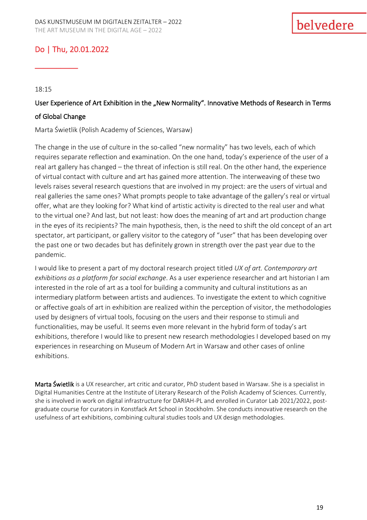\_\_\_\_\_\_\_\_\_\_

18:15

# User Experience of Art Exhibition in the "New Normality". Innovative Methods of Research in Terms of Global Change

Marta Świetlik (Polish Academy of Sciences, Warsaw)

The change in the use of culture in the so-called "new normality" has two levels, each of which requires separate reflection and examination. On the one hand, today's experience of the user of a real art gallery has changed – the threat of infection is still real. On the other hand, the experience of virtual contact with culture and art has gained more attention. The interweaving of these two levels raises several research questions that are involved in my project: are the users of virtual and real galleries the same ones? What prompts people to take advantage of the gallery's real or virtual offer, what are they looking for? What kind of artistic activity is directed to the real user and what to the virtual one? And last, but not least: how does the meaning of art and art production change in the eyes of its recipients? The main hypothesis, then, is the need to shift the old concept of an art spectator, art participant, or gallery visitor to the category of "user" that has been developing over the past one or two decades but has definitely grown in strength over the past year due to the pandemic.

I would like to present a part of my doctoral research project titled *UX of art. Contemporary art exhibitions as a platform for social exchange*. As a user experience researcher and art historian I am interested in the role of art as a tool for building a community and cultural institutions as an intermediary platform between artists and audiences. To investigate the extent to which cognitive or affective goals of art in exhibition are realized within the perception of visitor, the methodologies used by designers of virtual tools, focusing on the users and their response to stimuli and functionalities, may be useful. It seems even more relevant in the hybrid form of today's art exhibitions, therefore I would like to present new research methodologies I developed based on my experiences in researching on Museum of Modern Art in Warsaw and other cases of online exhibitions.

Marta Świetlik is a UX researcher, art critic and curator, PhD student based in Warsaw. She is a specialist in Digital Humanities Centre at the Institute of Literary Research of the Polish Academy of Sciences. Currently, she is involved in work on digital infrastructure for DARIAH-PL and enrolled in Curator Lab 2021/2022, postgraduate course for curators in Konstfack Art School in Stockholm. She conducts innovative research on the usefulness of art exhibitions, combining cultural studies tools and UX design methodologies.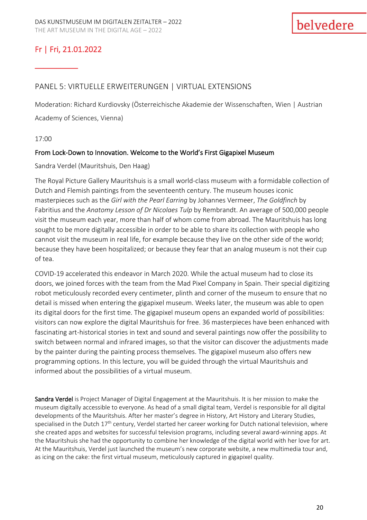\_\_\_\_\_\_\_\_\_\_

### PANEL 5: VIRTUELLE ERWEITERUNGEN | VIRTUAL EXTENSIONS

Moderation: Richard Kurdiovsky (Österreichische Akademie der Wissenschaften, Wien | Austrian Academy of Sciences, Vienna)

17:00

#### From Lock-Down to Innovation. Welcome to the World's First Gigapixel Museum

Sandra Verdel (Mauritshuis, Den Haag)

The Royal Picture Gallery Mauritshuis is a small world-class museum with a formidable collection of Dutch and Flemish paintings from the seventeenth century. The museum houses iconic masterpieces such as the *Girl with the Pearl Earring* by Johannes Vermeer, *The Goldfinch* by Fabritius and the *Anatomy Lesson of Dr Nicolaes Tulp* by Rembrandt. An average of 500,000 people visit the museum each year, more than half of whom come from abroad. The Mauritshuis has long sought to be more digitally accessible in order to be able to share its collection with people who cannot visit the museum in real life, for example because they live on the other side of the world; because they have been hospitalized; or because they fear that an analog museum is not their cup of tea.

COVID-19 accelerated this endeavor in March 2020. While the actual museum had to close its doors, we joined forces with the team from the Mad Pixel Company in Spain. Their special digitizing robot meticulously recorded every centimeter, plinth and corner of the museum to ensure that no detail is missed when entering the gigapixel museum. Weeks later, the museum was able to open its digital doors for the first time. The gigapixel museum opens an expanded world of possibilities: visitors can now explore the digital Mauritshuis for free. 36 masterpieces have been enhanced with fascinating art-historical stories in text and sound and several paintings now offer the possibility to switch between normal and infrared images, so that the visitor can discover the adjustments made by the painter during the painting process themselves. The gigapixel museum also offers new programming options. In this lecture, you will be guided through the virtual Mauritshuis and informed about the possibilities of a virtual museum.

Sandra Verdel is Project Manager of Digital Engagement at the Mauritshuis. It is her mission to make the museum digitally accessible to everyone. As head of a small digital team, Verdel is responsible for all digital developments of the Mauritshuis. After her master's degree in History, Art History and Literary Studies, specialised in the Dutch 17<sup>th</sup> century, Verdel started her career working for Dutch national television, where she created apps and websites for successful television programs, including several award-winning apps. At the Mauritshuis she had the opportunity to combine her knowledge of the digital world with her love for art. At the Mauritshuis, Verdel just launched the museum's new corporate website, a new multimedia tour and, as icing on the cake: the first virtual museum, meticulously captured in gigapixel quality.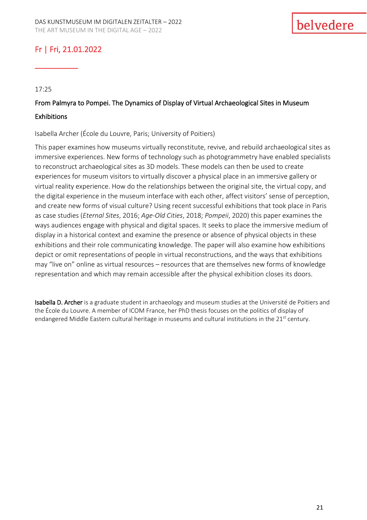\_\_\_\_\_\_\_\_\_\_

17:25

# From Palmyra to Pompei. The Dynamics of Display of Virtual Archaeological Sites in Museum **Exhibitions**

Isabella Archer (École du Louvre, Paris; University of Poitiers)

This paper examines how museums virtually reconstitute, revive, and rebuild archaeological sites as immersive experiences. New forms of technology such as photogrammetry have enabled specialists to reconstruct archaeological sites as 3D models. These models can then be used to create experiences for museum visitors to virtually discover a physical place in an immersive gallery or virtual reality experience. How do the relationships between the original site, the virtual copy, and the digital experience in the museum interface with each other, affect visitors' sense of perception, and create new forms of visual culture? Using recent successful exhibitions that took place in Paris as case studies (*Eternal Sites*, 2016; *Age-Old Cities*, 2018; *Pompeii*, 2020) this paper examines the ways audiences engage with physical and digital spaces. It seeks to place the immersive medium of display in a historical context and examine the presence or absence of physical objects in these exhibitions and their role communicating knowledge. The paper will also examine how exhibitions depict or omit representations of people in virtual reconstructions, and the ways that exhibitions may "live on" online as virtual resources – resources that are themselves new forms of knowledge representation and which may remain accessible after the physical exhibition closes its doors.

Isabella D. Archer is a graduate student in archaeology and museum studies at the Université de Poitiers and the École du Louvre. A member of ICOM France, her PhD thesis focuses on the politics of display of endangered Middle Eastern cultural heritage in museums and cultural institutions in the  $21<sup>st</sup>$  century.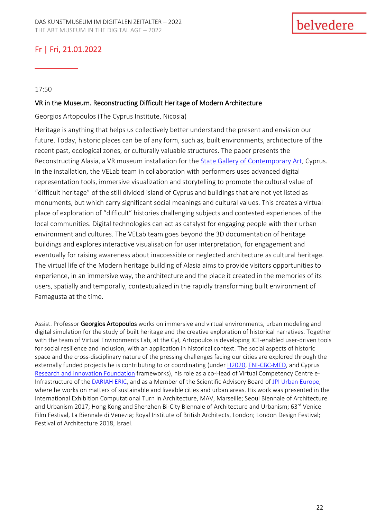\_\_\_\_\_\_\_\_\_\_

#### 17:50

#### VR in the Museum. Reconstructing Difficult Heritage of Modern Architecture

Georgios Artopoulos (The Cyprus Institute, Nicosia)

Heritage is anything that helps us collectively better understand the present and envision our future. Today, historic places can be of any form, such as, built environments, architecture of the recent past, ecological zones, or culturally valuable structures. The paper presents the Reconstructing Alasia, a VR museum installation for the [State Gallery of Contemporary Art,](https://www.facebook.com/SPELStateGallery) Cyprus. In the installation, the VELab team in collaboration with performers uses advanced digital representation tools, immersive visualization and storytelling to promote the cultural value of "difficult heritage" of the still divided island of Cyprus and buildings that are not yet listed as monuments, but which carry significant social meanings and cultural values. This creates a virtual place of exploration of "difficult" histories challenging subjects and contested experiences of the local communities. Digital technologies can act as catalyst for engaging people with their urban environment and cultures. The VELab team goes beyond the 3D documentation of heritage buildings and explores interactive visualisation for user interpretation, for engagement and eventually for raising awareness about inaccessible or neglected architecture as cultural heritage. The virtual life of the Modern heritage building of Alasia aims to provide visitors opportunities to experience, in an immersive way, the architecture and the place it created in the memories of its users, spatially and temporally, contextualized in the rapidly transforming built environment of Famagusta at the time.

Assist. Professor Georgios Artopoulos works on immersive and virtual environments, urban modeling and digital simulation for the study of built heritage and the creative exploration of historical narratives. Together with the team of Virtual Environments Lab, at the CyI, Artopoulos is developing ICT-enabled user-driven tools for social resilience and inclusion, with an application in historical context. The social aspects of historic space and the cross-disciplinary nature of the pressing challenges facing our cities are explored through the externally funded projects he is contributing to or coordinating (under [H2020,](https://ni4os.eu/) [ENI-CBC-MED,](http://www.enicbcmed.eu/projects/beep) and Cyprus [Research and Innovation Foundation](https://uperiscope.cyi.ac.cy/) frameworks), his role as a co-Head of Virtual Competency Centre e-Infrastructure of the [DARIAH ERIC,](https://www.dariah.eu/) and as a Member of the Scientific Advisory Board of [JPI Urban Europe,](https://jpi-urbaneurope.eu/) where he works on matters of sustainable and liveable cities and urban areas. His work was presented in the International Exhibition Computational Turn in Architecture, MAV, Marseille; Seoul Biennale of Architecture and Urbanism 2017; Hong Kong and Shenzhen Bi-City Biennale of Architecture and Urbanism; 63<sup>rd</sup> Venice Film Festival, La Biennale di Venezia; Royal Institute of British Architects, London; London Design Festival; Festival of Architecture 2018, Israel.